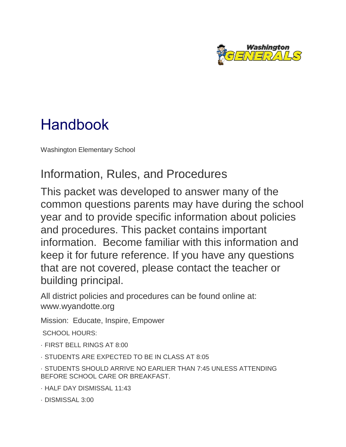

# Handbook

Washington Elementary School

## Information, Rules, and Procedures

This packet was developed to answer many of the common questions parents may have during the school year and to provide specific information about policies and procedures. This packet contains important information. Become familiar with this information and keep it for future reference. If you have any questions that are not covered, please contact the teacher or building principal.

All district policies and procedures can be found online at: www.wyandotte.org

Mission: Educate, Inspire, Empower

SCHOOL HOURS:

· FIRST BELL RINGS AT 8:00

· STUDENTS ARE EXPECTED TO BE IN CLASS AT 8:05

· STUDENTS SHOULD ARRIVE NO EARLIER THAN 7:45 UNLESS ATTENDING BEFORE SCHOOL CARE OR BREAKFAST.

· HALF DAY DISMISSAL 11:43

· DISMISSAL 3:00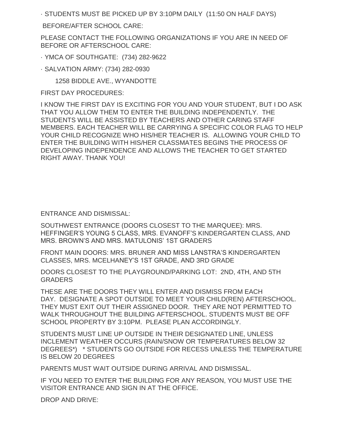· STUDENTS MUST BE PICKED UP BY 3:10PM DAILY (11:50 ON HALF DAYS)

BEFORE/AFTER SCHOOL CARE:

PLEASE CONTACT THE FOLLOWING ORGANIZATIONS IF YOU ARE IN NEED OF BEFORE OR AFTERSCHOOL CARE:

· YMCA OF SOUTHGATE: (734) 282-9622

· SALVATION ARMY: (734) 282-0930

1258 BIDDLE AVE., WYANDOTTE

FIRST DAY PROCEDURES:

I KNOW THE FIRST DAY IS EXCITING FOR YOU AND YOUR STUDENT, BUT I DO ASK THAT YOU ALLOW THEM TO ENTER THE BUILDING INDEPENDENTLY. THE STUDENTS WILL BE ASSISTED BY TEACHERS AND OTHER CARING STAFF MEMBERS. EACH TEACHER WILL BE CARRYING A SPECIFIC COLOR FLAG TO HELP YOUR CHILD RECOGNIZE WHO HIS/HER TEACHER IS. ALLOWING YOUR CHILD TO ENTER THE BUILDING WITH HIS/HER CLASSMATES BEGINS THE PROCESS OF DEVELOPING INDEPENDENCE AND ALLOWS THE TEACHER TO GET STARTED RIGHT AWAY. THANK YOU!

ENTRANCE AND DISMISSAL:

SOUTHWEST ENTRANCE (DOORS CLOSEST TO THE MARQUEE): MRS. HEFFINGER'S YOUNG 5 CLASS, MRS. EVANOFF'S KINDERGARTEN CLASS, AND MRS. BROWN'S AND MRS. MATULONIS' 1ST GRADERS

FRONT MAIN DOORS: MRS. BRUNER AND MISS LANSTRA'S KINDERGARTEN CLASSES, MRS. MCELHANEY'S 1ST GRADE, AND 3RD GRADE

DOORS CLOSEST TO THE PLAYGROUND/PARKING LOT: 2ND, 4TH, AND 5TH **GRADERS** 

THESE ARE THE DOORS THEY WILL ENTER AND DISMISS FROM EACH DAY. DESIGNATE A SPOT OUTSIDE TO MEET YOUR CHILD(REN) AFTERSCHOOL. THEY MUST EXIT OUT THEIR ASSIGNED DOOR. THEY ARE NOT PERMITTED TO WALK THROUGHOUT THE BUILDING AFTERSCHOOL. STUDENTS MUST BE OFF SCHOOL PROPERTY BY 3:10PM. PLEASE PLAN ACCORDINGLY.

STUDENTS MUST LINE UP OUTSIDE IN THEIR DESIGNATED LINE, UNLESS INCLEMENT WEATHER OCCURS (RAIN/SNOW OR TEMPERATURES BELOW 32 DEGREES\*) \* STUDENTS GO OUTSIDE FOR RECESS UNLESS THE TEMPERATURE IS BELOW 20 DEGREES

PARENTS MUST WAIT OUTSIDE DURING ARRIVAL AND DISMISSAL.

IF YOU NEED TO ENTER THE BUILDING FOR ANY REASON, YOU MUST USE THE VISITOR ENTRANCE AND SIGN IN AT THE OFFICE.

DROP AND DRIVE: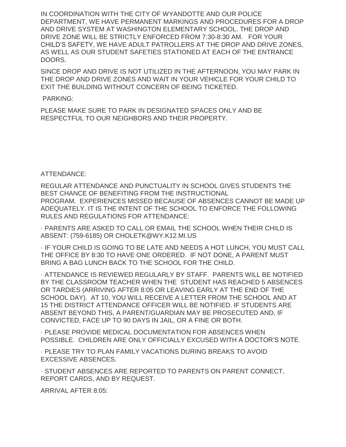IN COORDINATION WITH THE CITY OF WYANDOTTE AND OUR POLICE DEPARTMENT, WE HAVE PERMANENT MARKINGS AND PROCEDURES FOR A DROP AND DRIVE SYSTEM AT WASHINGTON ELEMENTARY SCHOOL. THE DROP AND DRIVE ZONE WILL BE STRICTLY ENFORCED FROM 7:30-8:30 AM. FOR YOUR CHILD'S SAFETY, WE HAVE ADULT PATROLLERS AT THE DROP AND DRIVE ZONES, AS WELL AS OUR STUDENT SAFETIES STATIONED AT EACH OF THE ENTRANCE DOORS.

SINCE DROP AND DRIVE IS NOT UTILIZED IN THE AFTERNOON, YOU MAY PARK IN THE DROP AND DRIVE ZONES AND WAIT IN YOUR VEHICLE FOR YOUR CHILD TO EXIT THE BUILDING WITHOUT CONCERN OF BEING TICKETED.

#### PARKING:

PLEASE MAKE SURE TO PARK IN DESIGNATED SPACES ONLY AND BE RESPECTFUL TO OUR NEIGHBORS AND THEIR PROPERTY.

#### ATTENDANCE:

REGULAR ATTENDANCE AND PUNCTUALITY IN SCHOOL GIVES STUDENTS THE BEST CHANCE OF BENEFITING FROM THE INSTRUCTIONAL PROGRAM. EXPERIENCES MISSED BECAUSE OF ABSENCES CANNOT BE MADE UP ADEQUATELY. IT IS THE INTENT OF THE SCHOOL TO ENFORCE THE FOLLOWING RULES AND REGULATIONS FOR ATTENDANCE:

· PARENTS ARE ASKED TO CALL OR EMAIL THE SCHOOL WHEN THEIR CHILD IS ABSENT: (759-6185) OR CHOLETK@WY.K12.MI.US

· IF YOUR CHILD IS GOING TO BE LATE AND NEEDS A HOT LUNCH, YOU MUST CALL THE OFFICE BY 8:30 TO HAVE ONE ORDERED. IF NOT DONE, A PARENT MUST BRING A BAG LUNCH BACK TO THE SCHOOL FOR THE CHILD.

· ATTENDANCE IS REVIEWED REGULARLY BY STAFF. PARENTS WILL BE NOTIFIED BY THE CLASSROOM TEACHER WHEN THE STUDENT HAS REACHED 5 ABSENCES OR TARDIES (ARRIVING AFTER 8:05 OR LEAVING EARLY AT THE END OF THE SCHOOL DAY). AT 10, YOU WILL RECEIVE A LETTER FROM THE SCHOOL AND AT 15 THE DISTRICT ATTENDANCE OFFICER WILL BE NOTIFIED. IF STUDENTS ARE ABSENT BEYOND THIS, A PARENT/GUARDIAN MAY BE PROSECUTED AND, IF CONVICTED, FACE UP TO 90 DAYS IN JAIL, OR A FINE OR BOTH.

· PLEASE PROVIDE MEDICAL DOCUMENTATION FOR ABSENCES WHEN POSSIBLE. CHILDREN ARE ONLY OFFICIALLY EXCUSED WITH A DOCTOR'S NOTE.

· PLEASE TRY TO PLAN FAMILY VACATIONS DURING BREAKS TO AVOID EXCESSIVE ABSENCES.

· STUDENT ABSENCES ARE REPORTED TO PARENTS ON PARENT CONNECT, REPORT CARDS, AND BY REQUEST.

ARRIVAL AFTER 8:05: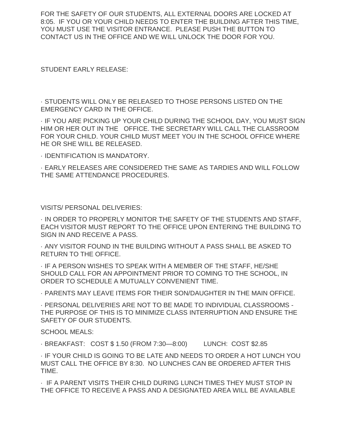FOR THE SAFETY OF OUR STUDENTS, ALL EXTERNAL DOORS ARE LOCKED AT 8:05. IF YOU OR YOUR CHILD NEEDS TO ENTER THE BUILDING AFTER THIS TIME, YOU MUST USE THE VISITOR ENTRANCE. PLEASE PUSH THE BUTTON TO CONTACT US IN THE OFFICE AND WE WILL UNLOCK THE DOOR FOR YOU.

STUDENT EARLY RELEASE:

· STUDENTS WILL ONLY BE RELEASED TO THOSE PERSONS LISTED ON THE EMERGENCY CARD IN THE OFFICE.

· IF YOU ARE PICKING UP YOUR CHILD DURING THE SCHOOL DAY, YOU MUST SIGN HIM OR HER OUT IN THE OFFICE. THE SECRETARY WILL CALL THE CLASSROOM FOR YOUR CHILD. YOUR CHILD MUST MEET YOU IN THE SCHOOL OFFICE WHERE HE OR SHE WILL BE RELEASED.

· IDENTIFICATION IS MANDATORY.

· EARLY RELEASES ARE CONSIDERED THE SAME AS TARDIES AND WILL FOLLOW THE SAME ATTENDANCE PROCEDURES.

VISITS/ PERSONAL DELIVERIES:

· IN ORDER TO PROPERLY MONITOR THE SAFETY OF THE STUDENTS AND STAFF, EACH VISITOR MUST REPORT TO THE OFFICE UPON ENTERING THE BUILDING TO SIGN IN AND RECEIVE A PASS.

· ANY VISITOR FOUND IN THE BUILDING WITHOUT A PASS SHALL BE ASKED TO RETURN TO THE OFFICE.

· IF A PERSON WISHES TO SPEAK WITH A MEMBER OF THE STAFF, HE/SHE SHOULD CALL FOR AN APPOINTMENT PRIOR TO COMING TO THE SCHOOL, IN ORDER TO SCHEDULE A MUTUALLY CONVENIENT TIME.

· PARENTS MAY LEAVE ITEMS FOR THEIR SON/DAUGHTER IN THE MAIN OFFICE.

· PERSONAL DELIVERIES ARE NOT TO BE MADE TO INDIVIDUAL CLASSROOMS - THE PURPOSE OF THIS IS TO MINIMIZE CLASS INTERRUPTION AND ENSURE THE SAFETY OF OUR STUDENTS.

SCHOOL MEALS:

· BREAKFAST: COST \$ 1.50 (FROM 7:30—8:00) LUNCH: COST \$2.85

· IF YOUR CHILD IS GOING TO BE LATE AND NEEDS TO ORDER A HOT LUNCH YOU MUST CALL THE OFFICE BY 8:30. NO LUNCHES CAN BE ORDERED AFTER THIS TIME.

· IF A PARENT VISITS THEIR CHILD DURING LUNCH TIMES THEY MUST STOP IN THE OFFICE TO RECEIVE A PASS AND A DESIGNATED AREA WILL BE AVAILABLE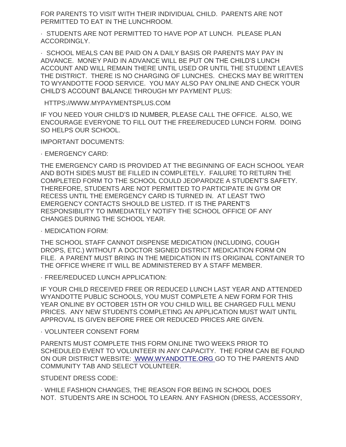FOR PARENTS TO VISIT WITH THEIR INDIVIDUAL CHILD. PARENTS ARE NOT PERMITTED TO EAT IN THE LUNCHROOM.

· STUDENTS ARE NOT PERMITTED TO HAVE POP AT LUNCH. PLEASE PLAN ACCORDINGLY.

· SCHOOL MEALS CAN BE PAID ON A DAILY BASIS OR PARENTS MAY PAY IN ADVANCE. MONEY PAID IN ADVANCE WILL BE PUT ON THE CHILD'S LUNCH ACCOUNT AND WILL REMAIN THERE UNTIL USED OR UNTIL THE STUDENT LEAVES THE DISTRICT. THERE IS NO CHARGING OF LUNCHES. CHECKS MAY BE WRITTEN TO WYANDOTTE FOOD SERVICE. YOU MAY ALSO PAY ONLINE AND CHECK YOUR CHILD'S ACCOUNT BALANCE THROUGH MY PAYMENT PLUS:

HTTPS://WWW.MYPAYMENTSPLUS.COM

IF YOU NEED YOUR CHILD'S ID NUMBER, PLEASE CALL THE OFFICE. ALSO, WE ENCOURAGE EVERYONE TO FILL OUT THE FREE/REDUCED LUNCH FORM. DOING SO HELPS OUR SCHOOL.

IMPORTANT DOCUMENTS:

· EMERGENCY CARD:

THE EMERGENCY CARD IS PROVIDED AT THE BEGINNING OF EACH SCHOOL YEAR AND BOTH SIDES MUST BE FILLED IN COMPLETELY. FAILURE TO RETURN THE COMPLETED FORM TO THE SCHOOL COULD JEOPARDIZE A STUDENT'S SAFETY. THEREFORE, STUDENTS ARE NOT PERMITTED TO PARTICIPATE IN GYM OR RECESS UNTIL THE EMERGENCY CARD IS TURNED IN. AT LEAST TWO EMERGENCY CONTACTS SHOULD BE LISTED. IT IS THE PARENT'S RESPONSIBILITY TO IMMEDIATELY NOTIFY THE SCHOOL OFFICE OF ANY CHANGES DURING THE SCHOOL YEAR.

· MEDICATION FORM:

THE SCHOOL STAFF CANNOT DISPENSE MEDICATION (INCLUDING, COUGH DROPS, ETC.) WITHOUT A DOCTOR SIGNED DISTRICT MEDICATION FORM ON FILE. A PARENT MUST BRING IN THE MEDICATION IN ITS ORIGINAL CONTAINER TO THE OFFICE WHERE IT WILL BE ADMINISTERED BY A STAFF MEMBER.

· FREE/REDUCED LUNCH APPLICATION:

IF YOUR CHILD RECEIVED FREE OR REDUCED LUNCH LAST YEAR AND ATTENDED WYANDOTTE PUBLIC SCHOOLS, YOU MUST COMPLETE A NEW FORM FOR THIS YEAR ONLINE BY OCTOBER 15TH OR YOU CHILD WILL BE CHARGED FULL MENU PRICES. ANY NEW STUDENTS COMPLETING AN APPLICATION MUST WAIT UNTIL APPROVAL IS GIVEN BEFORE FREE OR REDUCED PRICES ARE GIVEN.

· VOLUNTEER CONSENT FORM

PARENTS MUST COMPLETE THIS FORM ONLINE TWO WEEKS PRIOR TO SCHEDULED EVENT TO VOLUNTEER IN ANY CAPACITY. THE FORM CAN BE FOUND ON OUR DISTRICT WEBSITE: [WWW.WYANDOTTE.ORG](http://www.wyandotte.org/) GO TO THE PARENTS AND COMMUNITY TAB AND SELECT VOLUNTEER.

STUDENT DRESS CODE:

· WHILE FASHION CHANGES, THE REASON FOR BEING IN SCHOOL DOES NOT. STUDENTS ARE IN SCHOOL TO LEARN. ANY FASHION (DRESS, ACCESSORY,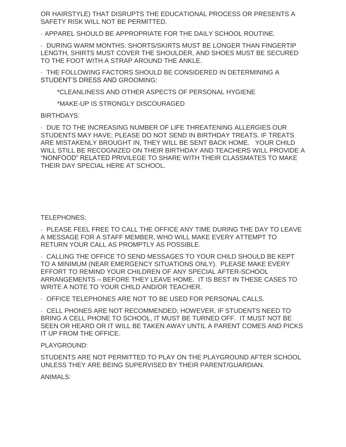OR HAIRSTYLE) THAT DISRUPTS THE EDUCATIONAL PROCESS OR PRESENTS A SAFETY RISK WILL NOT BE PERMITTED.

· APPAREL SHOULD BE APPROPRIATE FOR THE DAILY SCHOOL ROUTINE.

· DURING WARM MONTHS: SHORTS/SKIRTS MUST BE LONGER THAN FINGERTIP LENGTH, SHIRTS MUST COVER THE SHOULDER, AND SHOES MUST BE SECURED TO THE FOOT WITH A STRAP AROUND THE ANKLE.

· THE FOLLOWING FACTORS SHOULD BE CONSIDERED IN DETERMINING A STUDENT'S DRESS AND GROOMING:

\*CLEANLINESS AND OTHER ASPECTS OF PERSONAL HYGIENE

\*MAKE-UP IS STRONGLY DISCOURAGED

#### BIRTHDAYS:

· DUE TO THE INCREASING NUMBER OF LIFE THREATENING ALLERGIES OUR STUDENTS MAY HAVE; PLEASE DO NOT SEND IN BIRTHDAY TREATS. IF TREATS ARE MISTAKENLY BROUGHT IN, THEY WILL BE SENT BACK HOME. YOUR CHILD WILL STILL BE RECOGNIZED ON THEIR BIRTHDAY AND TEACHERS WILL PROVIDE A "NONFOOD" RELATED PRIVILEGE TO SHARE WITH THEIR CLASSMATES TO MAKE THEIR DAY SPECIAL HERE AT SCHOOL.

TELEPHONES:

· PLEASE FEEL FREE TO CALL THE OFFICE ANY TIME DURING THE DAY TO LEAVE A MESSAGE FOR A STAFF MEMBER, WHO WILL MAKE EVERY ATTEMPT TO RETURN YOUR CALL AS PROMPTLY AS POSSIBLE.

· CALLING THE OFFICE TO SEND MESSAGES TO YOUR CHILD SHOULD BE KEPT TO A MINIMUM (NEAR EMERGENCY SITUATIONS ONLY). PLEASE MAKE EVERY EFFORT TO REMIND YOUR CHILDREN OF ANY SPECIAL AFTER-SCHOOL ARRANGEMENTS – BEFORE THEY LEAVE HOME. IT IS BEST IN THESE CASES TO WRITE A NOTE TO YOUR CHILD AND/OR TEACHER.

· OFFICE TELEPHONES ARE NOT TO BE USED FOR PERSONAL CALLS.

· CELL PHONES ARE NOT RECOMMENDED; HOWEVER, IF STUDENTS NEED TO BRING A CELL PHONE TO SCHOOL, IT MUST BE TURNED OFF. IT MUST NOT BE SEEN OR HEARD OR IT WILL BE TAKEN AWAY UNTIL A PARENT COMES AND PICKS IT UP FROM THE OFFICE.

### PLAYGROUND:

STUDENTS ARE NOT PERMITTED TO PLAY ON THE PLAYGROUND AFTER SCHOOL UNLESS THEY ARE BEING SUPERVISED BY THEIR PARENT/GUARDIAN.

ANIMALS: